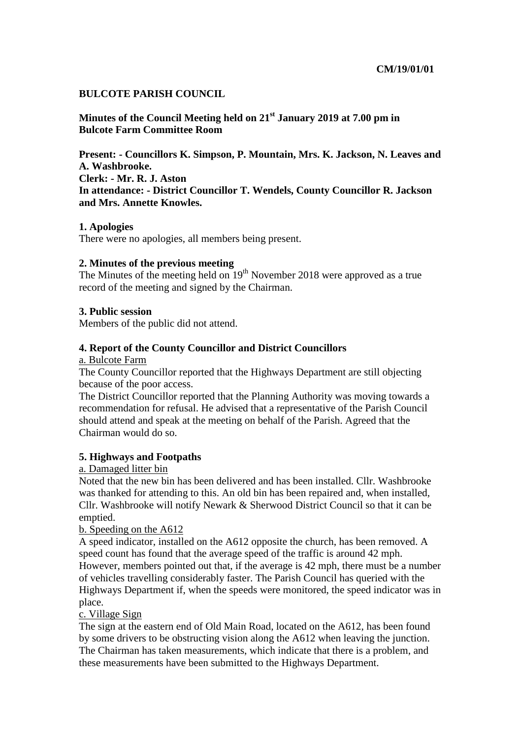### **BULCOTE PARISH COUNCIL**

**Minutes of the Council Meeting held on 21st January 2019 at 7.00 pm in Bulcote Farm Committee Room** 

**Present: - Councillors K. Simpson, P. Mountain, Mrs. K. Jackson, N. Leaves and A. Washbrooke. Clerk: - Mr. R. J. Aston In attendance: - District Councillor T. Wendels, County Councillor R. Jackson and Mrs. Annette Knowles.** 

### **1. Apologies**

There were no apologies, all members being present.

### **2. Minutes of the previous meeting**

The Minutes of the meeting held on  $19<sup>th</sup>$  November 2018 were approved as a true record of the meeting and signed by the Chairman.

### **3. Public session**

Members of the public did not attend.

#### **4. Report of the County Councillor and District Councillors**

a. Bulcote Farm

The County Councillor reported that the Highways Department are still objecting because of the poor access.

The District Councillor reported that the Planning Authority was moving towards a recommendation for refusal. He advised that a representative of the Parish Council should attend and speak at the meeting on behalf of the Parish. Agreed that the Chairman would do so.

### **5. Highways and Footpaths**

### a. Damaged litter bin

Noted that the new bin has been delivered and has been installed. Cllr. Washbrooke was thanked for attending to this. An old bin has been repaired and, when installed, Cllr. Washbrooke will notify Newark & Sherwood District Council so that it can be emptied.

### b. Speeding on the A612

A speed indicator, installed on the A612 opposite the church, has been removed. A speed count has found that the average speed of the traffic is around 42 mph. However, members pointed out that, if the average is 42 mph, there must be a number of vehicles travelling considerably faster. The Parish Council has queried with the Highways Department if, when the speeds were monitored, the speed indicator was in place.

#### c. Village Sign

The sign at the eastern end of Old Main Road, located on the A612, has been found by some drivers to be obstructing vision along the A612 when leaving the junction. The Chairman has taken measurements, which indicate that there is a problem, and these measurements have been submitted to the Highways Department.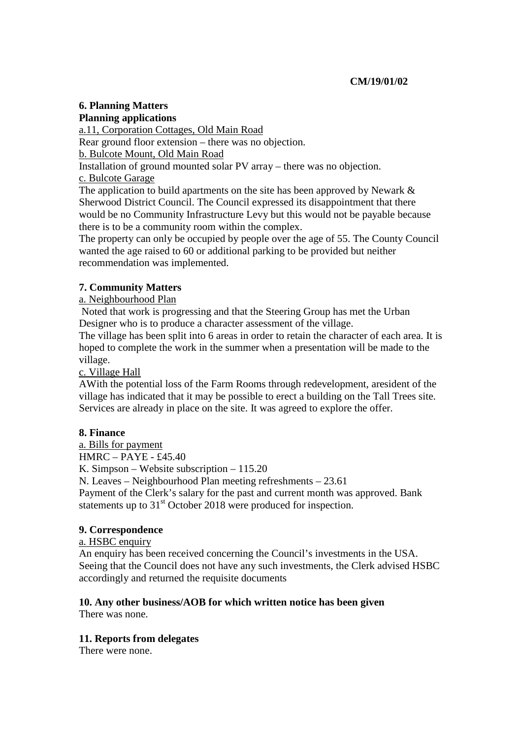### **6. Planning Matters Planning applications**

a.11, Corporation Cottages, Old Main Road Rear ground floor extension – there was no objection. b. Bulcote Mount, Old Main Road Installation of ground mounted solar PV array – there was no objection. c. Bulcote Garage The application to build apartments on the site has been approved by Newark & Sherwood District Council. The Council expressed its disappointment that there

would be no Community Infrastructure Levy but this would not be payable because there is to be a community room within the complex.

The property can only be occupied by people over the age of 55. The County Council wanted the age raised to 60 or additional parking to be provided but neither recommendation was implemented.

# **7. Community Matters**

a. Neighbourhood Plan

 Noted that work is progressing and that the Steering Group has met the Urban Designer who is to produce a character assessment of the village.

The village has been split into 6 areas in order to retain the character of each area. It is hoped to complete the work in the summer when a presentation will be made to the village.

c. Village Hall

AWith the potential loss of the Farm Rooms through redevelopment, aresident of the village has indicated that it may be possible to erect a building on the Tall Trees site. Services are already in place on the site. It was agreed to explore the offer.

## **8. Finance**

a. Bills for payment HMRC – PAYE - £45.40 K. Simpson – Website subscription – 115.20 N. Leaves – Neighbourhood Plan meeting refreshments – 23.61 Payment of the Clerk's salary for the past and current month was approved. Bank statements up to  $31<sup>st</sup>$  October 2018 were produced for inspection.

# **9. Correspondence**

## a. HSBC enquiry

An enquiry has been received concerning the Council's investments in the USA. Seeing that the Council does not have any such investments, the Clerk advised HSBC accordingly and returned the requisite documents

#### **10. Any other business/AOB for which written notice has been given**  There was none.

## **11. Reports from delegates**

There were none.